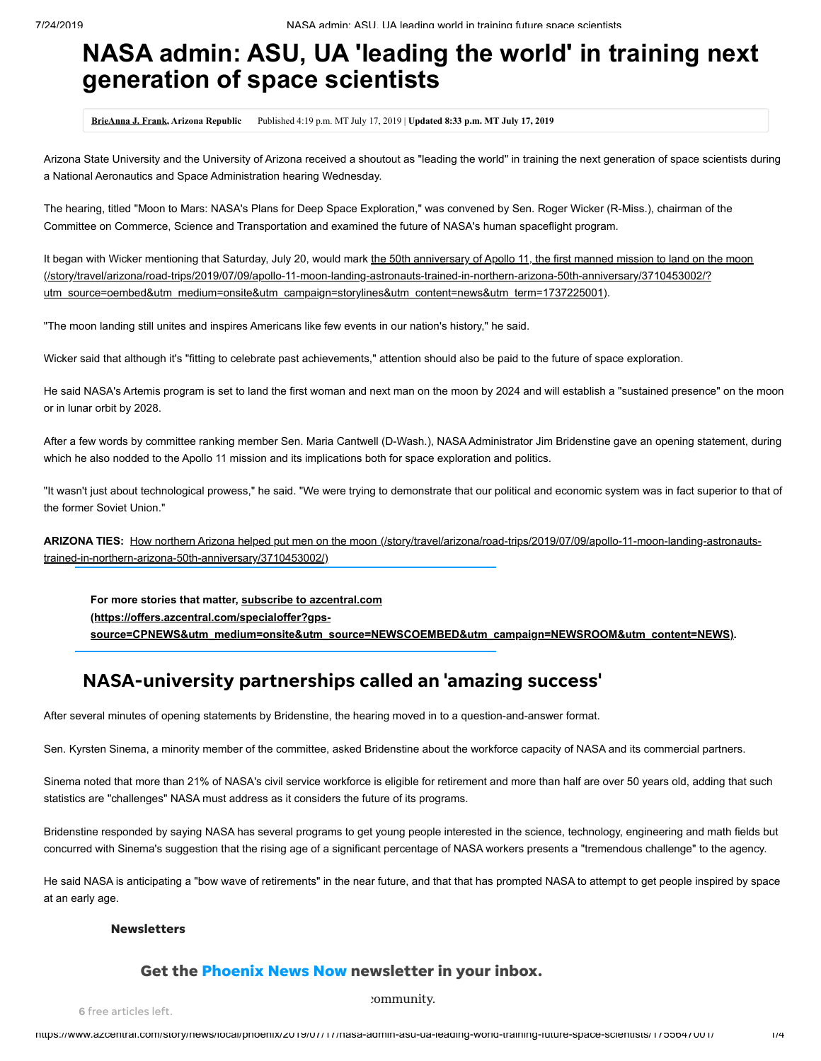# **NASA admin: ASU, UA 'leading the world' in training next generation of space scientists**

**[BrieAnna J. Frank,](http://www.azcentral.com/staff/10052300/brieanna-j-frank/) Arizona Republic** Published 4:19 p.m. MT July 17, 2019 | **Updated 8:33 p.m. MT July 17, 2019**

Arizona State University and the University of Arizona received a shoutout as "leading the world" in training the next generation of space scientists during a National Aeronautics and Space Administration hearing Wednesday.

The hearing, titled "Moon to Mars: NASA's Plans for Deep Space Exploration," was convened by Sen. Roger Wicker (R-Miss.), chairman of the Committee on Commerce, Science and Transportation and examined the future of NASA's human spaceflight program.

[It began with Wicker mentioning that Saturday, July 20, would mark the 50th anniversary of Apollo 11, the first manned mission to land on the moon](https://www.azcentral.com/story/travel/arizona/road-trips/2019/07/09/apollo-11-moon-landing-astronauts-trained-in-northern-arizona-50th-anniversary/3710453002/?utm_source=oembed&utm_medium=onsite&utm_campaign=storylines&utm_content=news&utm_term=1737225001) (/story/travel/arizona/road-trips/2019/07/09/apollo-11-moon-landing-astronauts-trained-in-northern-arizona-50th-anniversary/3710453002/? utm\_source=oembed&utm\_medium=onsite&utm\_campaign=storylines&utm\_content=news&utm\_term=1737225001).

"The moon landing still unites and inspires Americans like few events in our nation's history," he said.

Wicker said that although it's "fitting to celebrate past achievements," attention should also be paid to the future of space exploration.

He said NASA's Artemis program is set to land the first woman and next man on the moon by 2024 and will establish a "sustained presence" on the moon or in lunar orbit by 2028.

After a few words by committee ranking member Sen. Maria Cantwell (D-Wash.), NASA Administrator Jim Bridenstine gave an opening statement, during which he also nodded to the Apollo 11 mission and its implications both for space exploration and politics.

"It wasn't just about technological prowess," he said. "We were trying to demonstrate that our political and economic system was in fact superior to that of the former Soviet Union."

**ARIZONA TIES:** [How northern Arizona helped put men on the moon \(/story/travel/arizona/road-trips/2019/07/09/apollo-11-moon-landing-astronauts](https://www.azcentral.com/story/travel/arizona/road-trips/2019/07/09/apollo-11-moon-landing-astronauts-trained-in-northern-arizona-50th-anniversary/3710453002/)trained-in-northern-arizona-50th-anniversary/3710453002/)

**For more stories that matter, subscribe to azcentral.com (https://offers.azcentral.com/specialoffer?gps[source=CPNEWS&utm\\_medium=onsite&utm\\_source=NEWSCOEMBED&utm\\_campaign=NEWSROOM&utm\\_content=NEWS\)](https://offers.azcentral.com/specialoffer?gps-source=CPNEWS&utm_medium=onsite&utm_source=NEWSCOEMBED&utm_campaign=NEWSROOM&utm_content=NEWS).**

## NASA-university partnerships called an 'amazing success'

After several minutes of opening statements by Bridenstine, the hearing moved in to a question-and-answer format.

Sen. Kyrsten Sinema, a minority member of the committee, asked Bridenstine about the workforce capacity of NASA and its commercial partners.

Sinema noted that more than 21% of NASA's civil service workforce is eligible for retirement and more than half are over 50 years old, adding that such statistics are "challenges" NASA must address as it considers the future of its programs.

Bridenstine responded by saying NASA has several programs to get young people interested in the science, technology, engineering and math fields but concurred with Sinema's suggestion that the rising age of a significant percentage of NASA workers presents a "tremendous challenge" to the agency.

He said NASA is anticipating a "bow wave of retirements" in the near future, and that that has prompted NASA to attempt to get people inspired by space at an early age.

#### Newsletters

### Get the Phoenix News Now newsletter in your inbox.

6 free articles left.

#### :ommunity.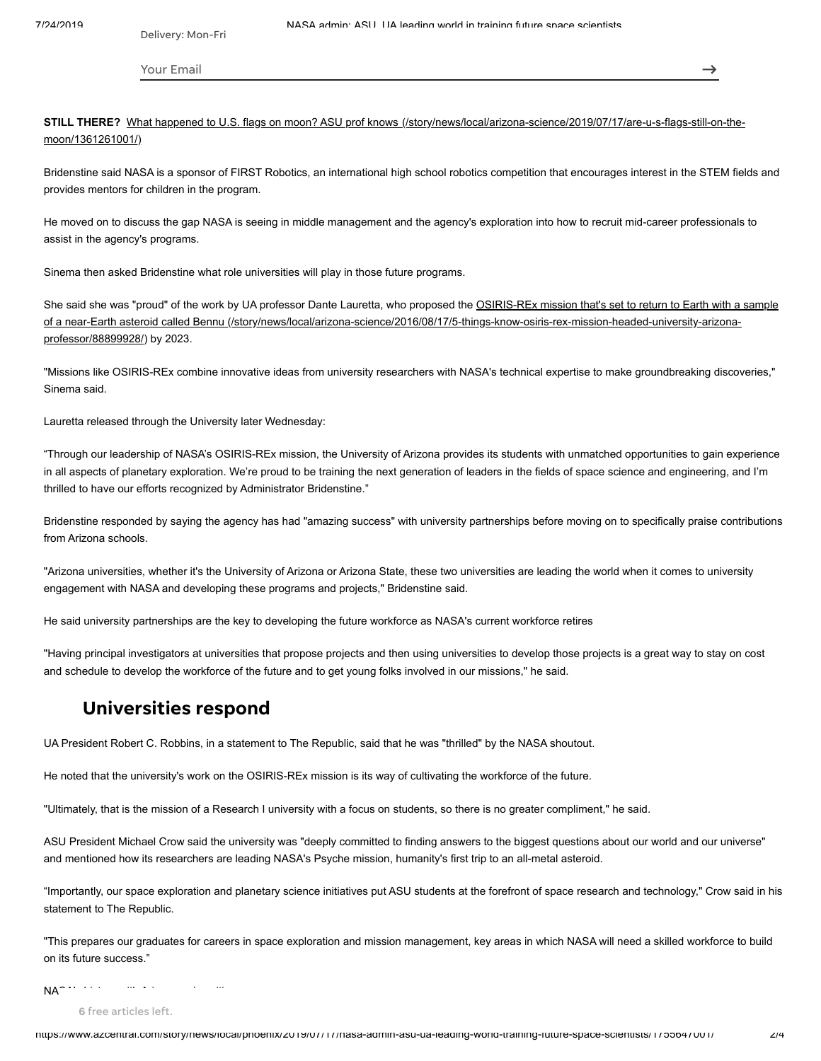Your Email

#### **STILL THERE?** [What happened to U.S. flags on moon? ASU prof knows \(/story/news/local/arizona-science/2019/07/17/are-u-s-flags-still-on-the](https://www.azcentral.com/story/news/local/arizona-science/2019/07/17/are-u-s-flags-still-on-the-moon/1361261001/)moon/1361261001/)

Bridenstine said NASA is a sponsor of FIRST Robotics, an international high school robotics competition that encourages interest in the STEM fields and provides mentors for children in the program.

He moved on to discuss the gap NASA is seeing in middle management and the agency's exploration into how to recruit mid-career professionals to assist in the agency's programs.

Sinema then asked Bridenstine what role universities will play in those future programs.

[She said she was "proud" of the work by UA professor Dante Lauretta, who proposed the OSIRIS-REx mission that's set to return to Earth with a sample](https://www.azcentral.com/story/news/local/arizona-science/2016/08/17/5-things-know-osiris-rex-mission-headed-university-arizona-professor/88899928/) of a near-Earth asteroid called Bennu (/story/news/local/arizona-science/2016/08/17/5-things-know-osiris-rex-mission-headed-university-arizonaprofessor/88899928/) by 2023.

"Missions like OSIRIS-REx combine innovative ideas from university researchers with NASA's technical expertise to make groundbreaking discoveries," Sinema said.

Lauretta released through the University later Wednesday:

"Through our leadership of NASA's OSIRIS-REx mission, the University of Arizona provides its students with unmatched opportunities to gain experience in all aspects of planetary exploration. We're proud to be training the next generation of leaders in the fields of space science and engineering, and I'm thrilled to have our efforts recognized by Administrator Bridenstine."

Bridenstine responded by saying the agency has had "amazing success" with university partnerships before moving on to specifically praise contributions from Arizona schools.

"Arizona universities, whether it's the University of Arizona or Arizona State, these two universities are leading the world when it comes to university engagement with NASA and developing these programs and projects," Bridenstine said.

He said university partnerships are the key to developing the future workforce as NASA's current workforce retires

"Having principal investigators at universities that propose projects and then using universities to develop those projects is a great way to stay on cost and schedule to develop the workforce of the future and to get young folks involved in our missions," he said.

### Universities respond

UA President Robert C. Robbins, in a statement to The Republic, said that he was "thrilled" by the NASA shoutout.

He noted that the university's work on the OSIRIS-REx mission is its way of cultivating the workforce of the future.

"Ultimately, that is the mission of a Research I university with a focus on students, so there is no greater compliment," he said.

ASU President Michael Crow said the university was "deeply committed to finding answers to the biggest questions about our world and our universe" and mentioned how its researchers are leading NASA's Psyche mission, humanity's first trip to an all-metal asteroid.

"Importantly, our space exploration and planetary science initiatives put ASU students at the forefront of space research and technology," Crow said in his statement to The Republic.

"This prepares our graduates for careers in space exploration and mission management, key areas in which NASA will need a skilled workforce to build on its future success."

 $NA$ s history with  $A$  arizonal university with  $A$ 

6 free articles left.

 $\rightarrow$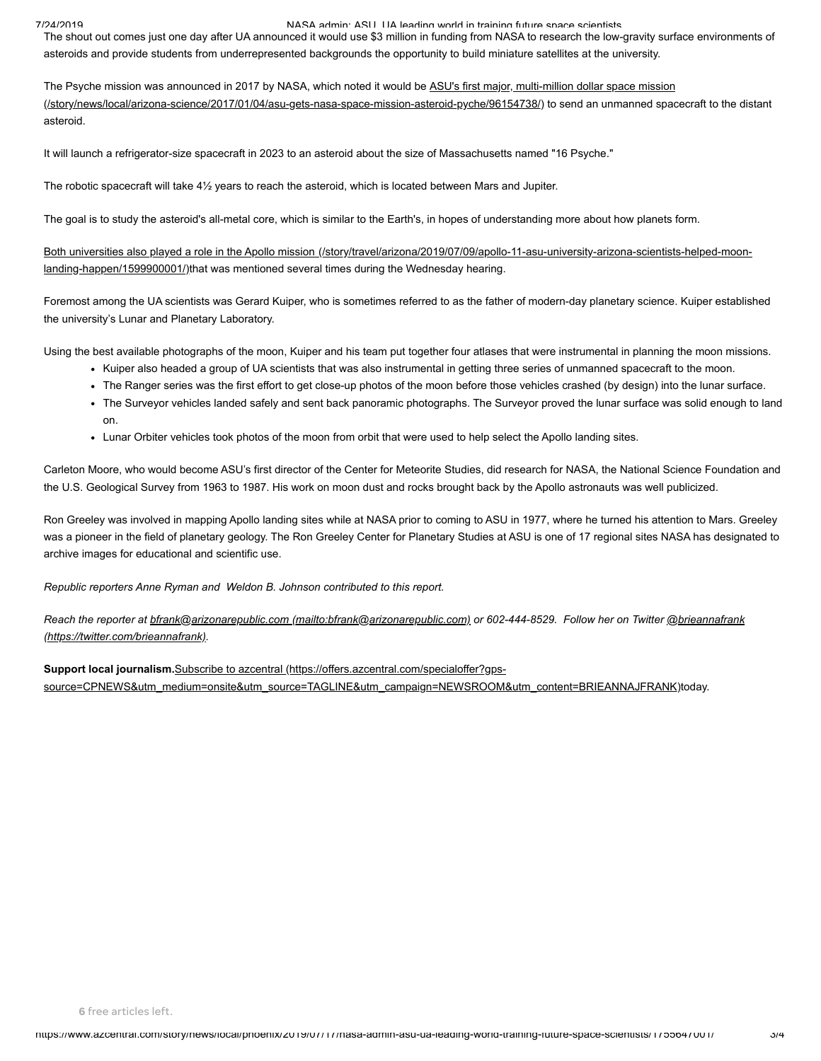#### 7/24/2019 NASA admin: ASU, UA leading world in training future space scientists

The shout out comes just one day after UA announced it would use \$3 million in funding from NASA to research the low-gravity surface environments of asteroids and provide students from underrepresented backgrounds the opportunity to build miniature satellites at the university.

The Psyche mission was announced in 2017 by NASA, which noted it would be ASU's first major, multi-million dollar space mission [\(/story/news/local/arizona-science/2017/01/04/asu-gets-nasa-space-mission-asteroid-pyche/96154738/\) to send an unmanned spac](https://www.azcentral.com/story/news/local/arizona-science/2017/01/04/asu-gets-nasa-space-mission-asteroid-pyche/96154738/)ecraft to the distant asteroid.

It will launch a refrigerator-size spacecraft in 2023 to an asteroid about the size of Massachusetts named "16 Psyche."

The robotic spacecraft will take 4½ years to reach the asteroid, which is located between Mars and Jupiter.

The goal is to study the asteroid's all-metal core, which is similar to the Earth's, in hopes of understanding more about how planets form.

[Both universities also played a role in the Apollo mission \(/story/travel/arizona/2019/07/09/apollo-11-asu-university-arizona-scientists-helped-moon](https://www.azcentral.com/story/travel/arizona/2019/07/09/apollo-11-asu-university-arizona-scientists-helped-moon-landing-happen/1599900001/)landing-happen/1599900001/)that was mentioned several times during the Wednesday hearing.

Foremost among the UA scientists was Gerard Kuiper, who is sometimes referred to as the father of modern-day planetary science. Kuiper established the university's Lunar and Planetary Laboratory.

Using the best available photographs of the moon, Kuiper and his team put together four atlases that were instrumental in planning the moon missions.

- Kuiper also headed a group of UA scientists that was also instrumental in getting three series of unmanned spacecraft to the moon.
- The Ranger series was the first effort to get close-up photos of the moon before those vehicles crashed (by design) into the lunar surface.
- The Surveyor vehicles landed safely and sent back panoramic photographs. The Surveyor proved the lunar surface was solid enough to land on.
- Lunar Orbiter vehicles took photos of the moon from orbit that were used to help select the Apollo landing sites.

Carleton Moore, who would become ASU's first director of the Center for Meteorite Studies, did research for NASA, the National Science Foundation and the U.S. Geological Survey from 1963 to 1987. His work on moon dust and rocks brought back by the Apollo astronauts was well publicized.

Ron Greeley was involved in mapping Apollo landing sites while at NASA prior to coming to ASU in 1977, where he turned his attention to Mars. Greeley was a pioneer in the field of planetary geology. The Ron Greeley Center for Planetary Studies at ASU is one of 17 regional sites NASA has designated to archive images for educational and scientific use.

*Republic reporters Anne Ryman and Weldon B. Johnson contributed to this report.*

*[Reach the reporter at b](https://twitter.com/brieannafrank)[frank@arizonarepublic.com \(mailto:bfrank@arizonarepublic.com\)](mailto:bfrank@arizonarepublic.com) [or 602-444-8529. Follow her on Twitter @brieannafrank](https://twitter.com/brieannafrank) (https://twitter.com/brieannafrank).* 

**Support local journalism.**Subscribe to azcentral (https://offers.azcentral.com/specialoffer?gps[source=CPNEWS&utm\\_medium=onsite&utm\\_source=TAGLINE&utm\\_campaign=NEWSROOM&utm\\_content=BRIEANNAJFRANK\)t](https://offers.azcentral.com/specialoffer?gps-source=CPNEWS&utm_medium=onsite&utm_source=TAGLINE&utm_campaign=NEWSROOM&utm_content=BRIEANNAJFRANK)oday.